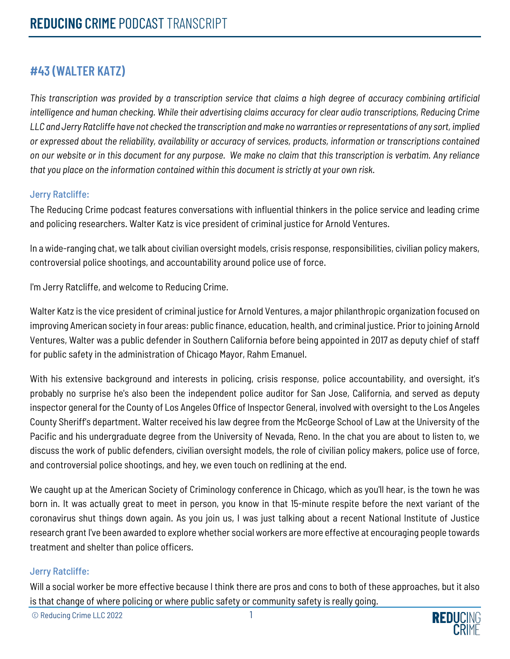## **#43 (WALTER KATZ)**

*This transcription was provided by a transcription service that claims a high degree of accuracy combining artificial intelligence and human checking. While their advertising claims accuracy for clear audio transcriptions, Reducing Crime LLC and Jerry Ratcliffe have not checked the transcription and make no warranties or representations of any sort, implied or expressed about the reliability, availability or accuracy of services, products, information or transcriptions contained on our website or in this document for any purpose. We make no claim that this transcription is verbatim. Any reliance that you place on the information contained within this document is strictly at your own risk.*

### Jerry Ratcliffe:

The Reducing Crime podcast features conversations with influential thinkers in the police service and leading crime and policing researchers. Walter Katz is vice president of criminal justice for Arnold Ventures.

In a wide-ranging chat, we talk about civilian oversight models, crisis response, responsibilities, civilian policy makers, controversial police shootings, and accountability around police use of force.

I'm Jerry Ratcliffe, and welcome to Reducing Crime.

Walter Katz is the vice president of criminal justice for Arnold Ventures, a major philanthropic organization focused on improving American society in four areas: public finance, education, health, and criminal justice. Prior to joining Arnold Ventures, Walter was a public defender in Southern California before being appointed in 2017 as deputy chief of staff for public safety in the administration of Chicago Mayor, Rahm Emanuel.

With his extensive background and interests in policing, crisis response, police accountability, and oversight, it's probably no surprise he's also been the independent police auditor for San Jose, California, and served as deputy inspector general for the County of Los Angeles Office of Inspector General, involved with oversight to the Los Angeles County Sheriff's department. Walter received his law degree from the McGeorge School of Law at the University of the Pacific and his undergraduate degree from the University of Nevada, Reno. In the chat you are about to listen to, we discuss the work of public defenders, civilian oversight models, the role of civilian policy makers, police use of force, and controversial police shootings, and hey, we even touch on redlining at the end.

We caught up at the American Society of Criminology conference in Chicago, which as you'll hear, is the town he was born in. It was actually great to meet in person, you know in that 15-minute respite before the next variant of the coronavirus shut things down again. As you join us, I was just talking about a recent National Institute of Justice research grant I've been awarded to explore whether social workers are more effective at encouraging people towards treatment and shelter than police officers.

#### Jerry Ratcliffe:

Will a social worker be more effective because I think there are pros and cons to both of these approaches, but it also is that change of where policing or where public safety or community safety is really going.

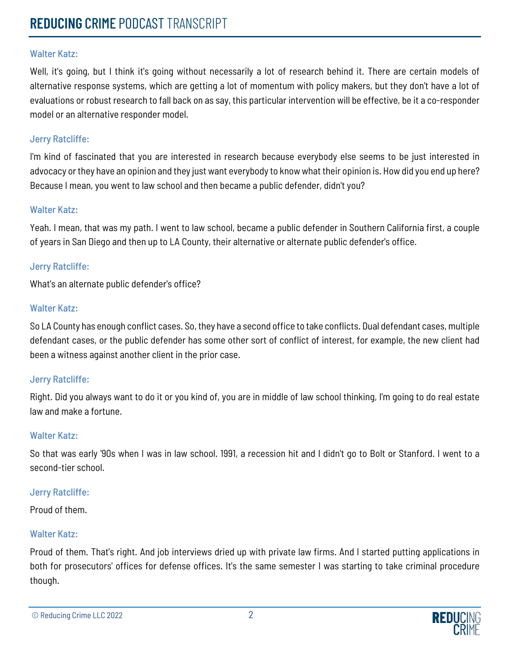Well, it's going, but I think it's going without necessarily a lot of research behind it. There are certain models of alternative response systems, which are getting a lot of momentum with policy makers, but they don't have a lot of evaluations or robust research to fall back on as say, this particular intervention will be effective, be it a co-responder model or an alternative responder model.

#### Jerry Ratcliffe:

I'm kind of fascinated that you are interested in research because everybody else seems to be just interested in advocacy or they have an opinion and they just want everybody to know what their opinion is. How did you end up here? Because I mean, you went to law school and then became a public defender, didn't you?

#### Walter Katz:

Yeah. I mean, that was my path. I went to law school, became a public defender in Southern California first, a couple of years in San Diego and then up to LA County, their alternative or alternate public defender's office.

#### Jerry Ratcliffe:

What's an alternate public defender's office?

#### Walter Katz:

So LA County has enough conflict cases. So, they have a second office to take conflicts. Dual defendant cases, multiple defendant cases, or the public defender has some other sort of conflict of interest, for example, the new client had been a witness against another client in the prior case.

#### Jerry Ratcliffe:

Right. Did you always want to do it or you kind of, you are in middle of law school thinking, I'm going to do real estate law and make a fortune.

#### Walter Katz:

So that was early '90s when I was in law school. 1991, a recession hit and I didn't go to Bolt or Stanford. I went to a second-tier school.

#### Jerry Ratcliffe:

Proud of them.

#### Walter Katz:

Proud of them. That's right. And job interviews dried up with private law firms. And I started putting applications in both for prosecutors' offices for defense offices. It's the same semester I was starting to take criminal procedure though.

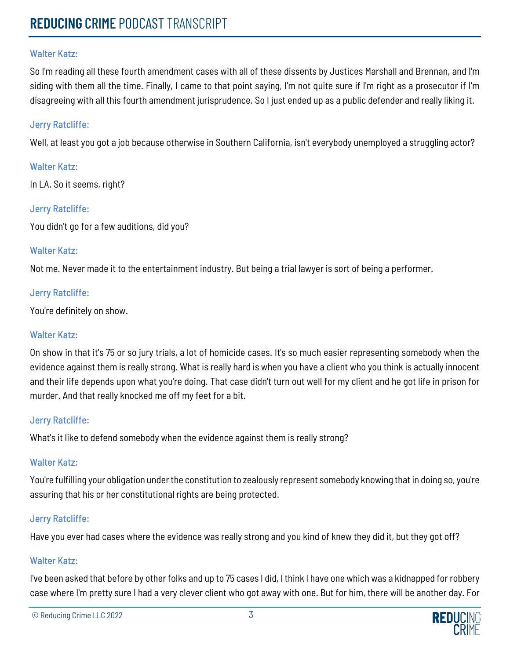So I'm reading all these fourth amendment cases with all of these dissents by Justices Marshall and Brennan, and I'm siding with them all the time. Finally, I came to that point saying, I'm not quite sure if I'm right as a prosecutor if I'm disagreeing with all this fourth amendment jurisprudence. So I just ended up as a public defender and really liking it.

#### Jerry Ratcliffe:

Well, at least you got a job because otherwise in Southern California, isn't everybody unemployed a struggling actor?

#### Walter Katz:

In LA. So it seems, right?

#### Jerry Ratcliffe:

You didn't go for a few auditions, did you?

#### Walter Katz:

Not me. Never made it to the entertainment industry. But being a trial lawyer is sort of being a performer.

#### Jerry Ratcliffe:

You're definitely on show.

#### Walter Katz:

On show in that it's 75 or so jury trials, a lot of homicide cases. It's so much easier representing somebody when the evidence against them is really strong. What is really hard is when you have a client who you think is actually innocent and their life depends upon what you're doing. That case didn't turn out well for my client and he got life in prison for murder. And that really knocked me off my feet for a bit.

#### Jerry Ratcliffe:

What's it like to defend somebody when the evidence against them is really strong?

#### Walter Katz:

You're fulfilling your obligation under the constitution to zealously represent somebody knowing that in doing so, you're assuring that his or her constitutional rights are being protected.

#### Jerry Ratcliffe:

Have you ever had cases where the evidence was really strong and you kind of knew they did it, but they got off?

#### Walter Katz:

I've been asked that before by other folks and up to 75 cases I did, I think I have one which was a kidnapped for robbery case where I'm pretty sure I had a very clever client who got away with one. But for him, there will be another day. For

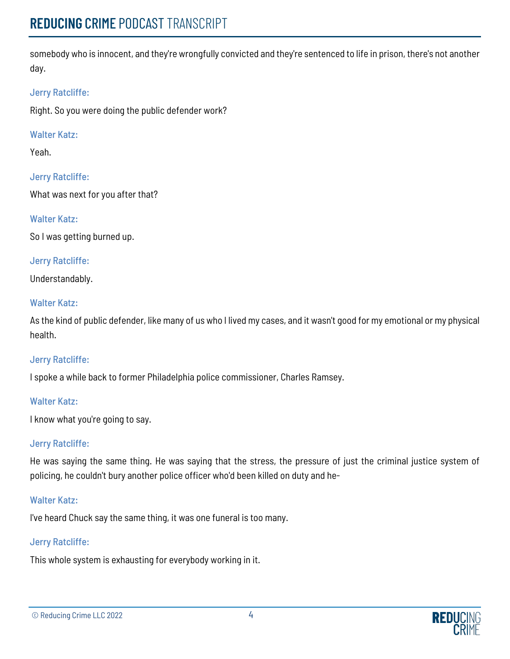somebody who is innocent, and they're wrongfully convicted and they're sentenced to life in prison, there's not another day.

## Jerry Ratcliffe:

Right. So you were doing the public defender work?

## Walter Katz:

Yeah.

Jerry Ratcliffe:

What was next for you after that?

## Walter Katz:

So I was getting burned up.

## Jerry Ratcliffe:

Understandably.

## Walter Katz:

As the kind of public defender, like many of us who I lived my cases, and it wasn't good for my emotional or my physical health.

## Jerry Ratcliffe:

I spoke a while back to former Philadelphia police commissioner, Charles Ramsey.

## Walter Katz:

I know what you're going to say.

## Jerry Ratcliffe:

He was saying the same thing. He was saying that the stress, the pressure of just the criminal justice system of policing, he couldn't bury another police officer who'd been killed on duty and he-

## Walter Katz:

I've heard Chuck say the same thing, it was one funeral is too many.

## Jerry Ratcliffe:

This whole system is exhausting for everybody working in it.

```
© Reducing Crime LLC 2022 4
```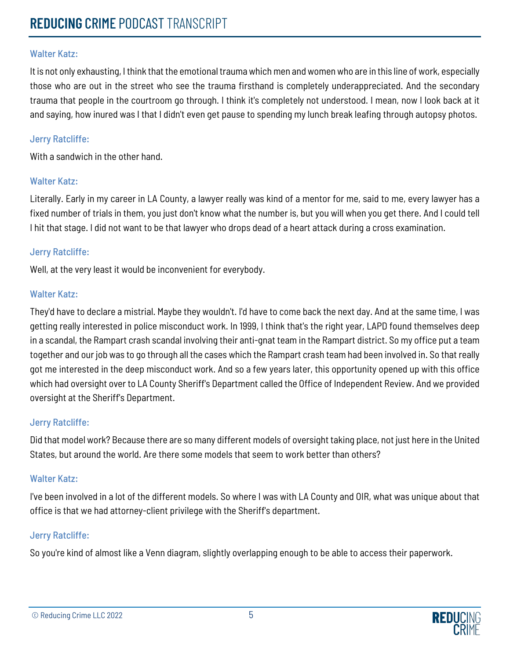It is not only exhausting, I think that the emotional trauma which men and women who are in this line of work, especially those who are out in the street who see the trauma firsthand is completely underappreciated. And the secondary trauma that people in the courtroom go through. I think it's completely not understood. I mean, now I look back at it and saying, how inured was I that I didn't even get pause to spending my lunch break leafing through autopsy photos.

#### Jerry Ratcliffe:

With a sandwich in the other hand.

### Walter Katz:

Literally. Early in my career in LA County, a lawyer really was kind of a mentor for me, said to me, every lawyer has a fixed number of trials in them, you just don't know what the number is, but you will when you get there. And I could tell I hit that stage. I did not want to be that lawyer who drops dead of a heart attack during a cross examination.

### Jerry Ratcliffe:

Well, at the very least it would be inconvenient for everybody.

#### Walter Katz:

They'd have to declare a mistrial. Maybe they wouldn't. I'd have to come back the next day. And at the same time, I was getting really interested in police misconduct work. In 1999, I think that's the right year, LAPD found themselves deep in a scandal, the Rampart crash scandal involving their anti-gnat team in the Rampart district. So my office put a team together and our job was to go through all the cases which the Rampart crash team had been involved in. So that really got me interested in the deep misconduct work. And so a few years later, this opportunity opened up with this office which had oversight over to LA County Sheriff's Department called the Office of Independent Review. And we provided oversight at the Sheriff's Department.

#### Jerry Ratcliffe:

Did that model work? Because there are so many different models of oversight taking place, not just here in the United States, but around the world. Are there some models that seem to work better than others?

#### Walter Katz:

I've been involved in a lot of the different models. So where I was with LA County and OIR, what was unique about that office is that we had attorney-client privilege with the Sheriff's department.

## Jerry Ratcliffe:

So you're kind of almost like a Venn diagram, slightly overlapping enough to be able to access their paperwork.

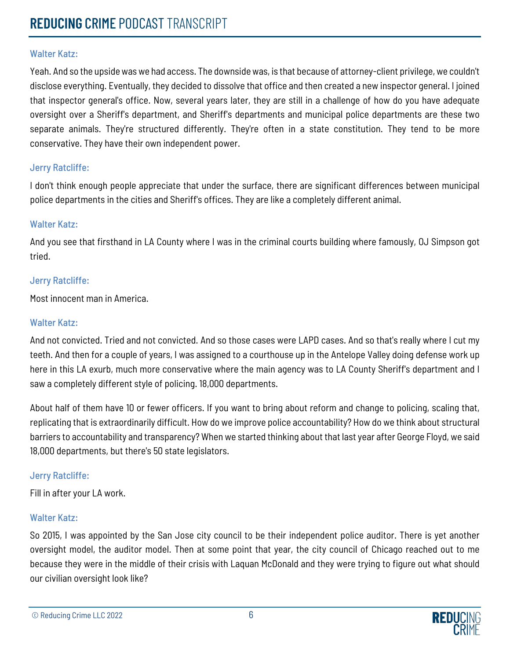Yeah. And so the upside was we had access. The downside was, is that because of attorney-client privilege, we couldn't disclose everything. Eventually, they decided to dissolve that office and then created a new inspector general. I joined that inspector general's office. Now, several years later, they are still in a challenge of how do you have adequate oversight over a Sheriff's department, and Sheriff's departments and municipal police departments are these two separate animals. They're structured differently. They're often in a state constitution. They tend to be more conservative. They have their own independent power.

#### Jerry Ratcliffe:

I don't think enough people appreciate that under the surface, there are significant differences between municipal police departments in the cities and Sheriff's offices. They are like a completely different animal.

#### Walter Katz:

And you see that firsthand in LA County where I was in the criminal courts building where famously, OJ Simpson got tried.

#### Jerry Ratcliffe:

Most innocent man in America.

### Walter Katz:

And not convicted. Tried and not convicted. And so those cases were LAPD cases. And so that's really where I cut my teeth. And then for a couple of years, I was assigned to a courthouse up in the Antelope Valley doing defense work up here in this LA exurb, much more conservative where the main agency was to LA County Sheriff's department and I saw a completely different style of policing. 18,000 departments.

About half of them have 10 or fewer officers. If you want to bring about reform and change to policing, scaling that, replicating that is extraordinarily difficult. How do we improve police accountability? How do we think about structural barriers to accountability and transparency? When we started thinking about that last year after George Floyd, we said 18,000 departments, but there's 50 state legislators.

## Jerry Ratcliffe:

Fill in after your LA work.

#### Walter Katz:

So 2015, I was appointed by the San Jose city council to be their independent police auditor. There is yet another oversight model, the auditor model. Then at some point that year, the city council of Chicago reached out to me because they were in the middle of their crisis with Laquan McDonald and they were trying to figure out what should our civilian oversight look like?

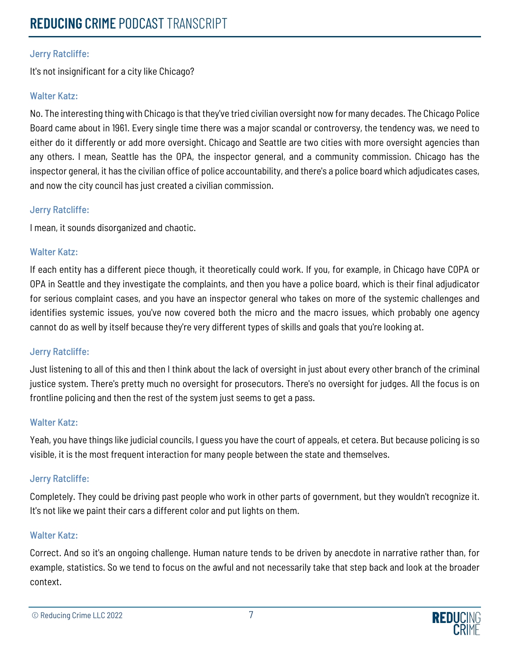## Jerry Ratcliffe:

It's not insignificant for a city like Chicago?

## Walter Katz:

No. The interesting thing with Chicago is that they've tried civilian oversight now for many decades. The Chicago Police Board came about in 1961. Every single time there was a major scandal or controversy, the tendency was, we need to either do it differently or add more oversight. Chicago and Seattle are two cities with more oversight agencies than any others. I mean, Seattle has the OPA, the inspector general, and a community commission. Chicago has the inspector general, it has the civilian office of police accountability, and there's a police board which adjudicates cases, and now the city council has just created a civilian commission.

## Jerry Ratcliffe:

I mean, it sounds disorganized and chaotic.

### Walter Katz:

If each entity has a different piece though, it theoretically could work. If you, for example, in Chicago have COPA or OPA in Seattle and they investigate the complaints, and then you have a police board, which is their final adjudicator for serious complaint cases, and you have an inspector general who takes on more of the systemic challenges and identifies systemic issues, you've now covered both the micro and the macro issues, which probably one agency cannot do as well by itself because they're very different types of skills and goals that you're looking at.

## Jerry Ratcliffe:

Just listening to all of this and then I think about the lack of oversight in just about every other branch of the criminal justice system. There's pretty much no oversight for prosecutors. There's no oversight for judges. All the focus is on frontline policing and then the rest of the system just seems to get a pass.

#### Walter Katz:

Yeah, you have things like judicial councils, I guess you have the court of appeals, et cetera. But because policing is so visible, it is the most frequent interaction for many people between the state and themselves.

## Jerry Ratcliffe:

Completely. They could be driving past people who work in other parts of government, but they wouldn't recognize it. It's not like we paint their cars a different color and put lights on them.

## Walter Katz:

Correct. And so it's an ongoing challenge. Human nature tends to be driven by anecdote in narrative rather than, for example, statistics. So we tend to focus on the awful and not necessarily take that step back and look at the broader context.

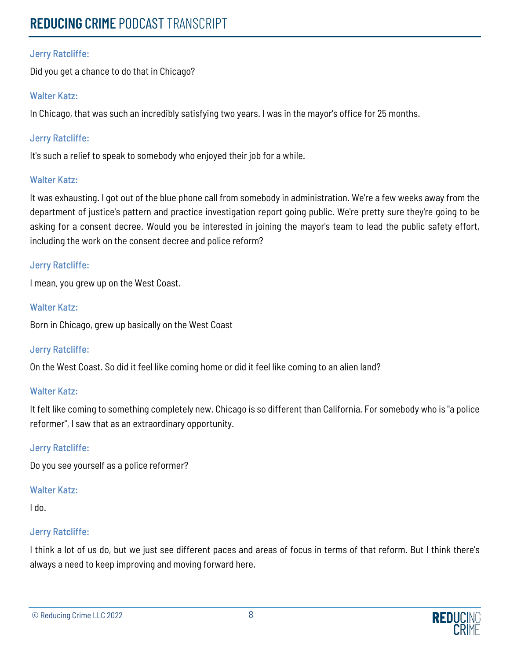## Jerry Ratcliffe:

Did you get a chance to do that in Chicago?

### Walter Katz:

In Chicago, that was such an incredibly satisfying two years. I was in the mayor's office for 25 months.

## Jerry Ratcliffe:

It's such a relief to speak to somebody who enjoyed their job for a while.

### Walter Katz:

It was exhausting. I got out of the blue phone call from somebody in administration. We're a few weeks away from the department of justice's pattern and practice investigation report going public. We're pretty sure they're going to be asking for a consent decree. Would you be interested in joining the mayor's team to lead the public safety effort, including the work on the consent decree and police reform?

#### Jerry Ratcliffe:

I mean, you grew up on the West Coast.

### Walter Katz:

Born in Chicago, grew up basically on the West Coast

## Jerry Ratcliffe:

On the West Coast. So did it feel like coming home or did it feel like coming to an alien land?

## Walter Katz:

It felt like coming to something completely new. Chicago is so different than California. For somebody who is "a police reformer", I saw that as an extraordinary opportunity.

## Jerry Ratcliffe:

Do you see yourself as a police reformer?

## Walter Katz:

I do.

## Jerry Ratcliffe:

I think a lot of us do, but we just see different paces and areas of focus in terms of that reform. But I think there's always a need to keep improving and moving forward here.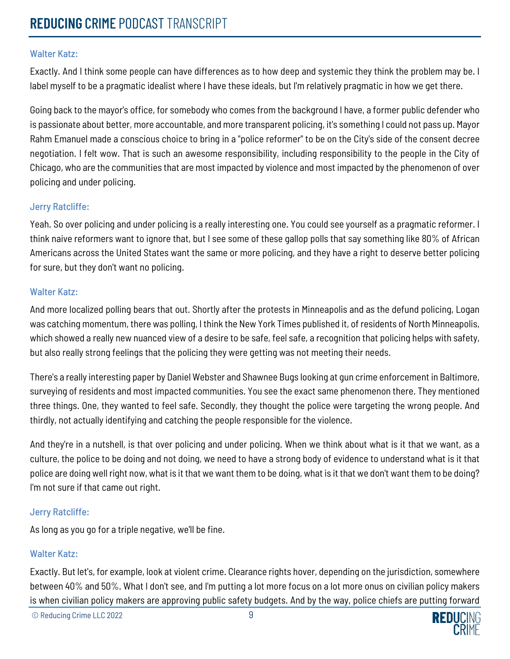Exactly. And I think some people can have differences as to how deep and systemic they think the problem may be. I label myself to be a pragmatic idealist where I have these ideals, but I'm relatively pragmatic in how we get there.

Going back to the mayor's office, for somebody who comes from the background I have, a former public defender who is passionate about better, more accountable, and more transparent policing, it's something I could not pass up. Mayor Rahm Emanuel made a conscious choice to bring in a "police reformer" to be on the City's side of the consent decree negotiation. I felt wow. That is such an awesome responsibility, including responsibility to the people in the City of Chicago, who are the communities that are most impacted by violence and most impacted by the phenomenon of over policing and under policing.

#### Jerry Ratcliffe:

Yeah. So over policing and under policing is a really interesting one. You could see yourself as a pragmatic reformer. I think naive reformers want to ignore that, but I see some of these gallop polls that say something like 80% of African Americans across the United States want the same or more policing, and they have a right to deserve better policing for sure, but they don't want no policing.

#### Walter Katz:

And more localized polling bears that out. Shortly after the protests in Minneapolis and as the defund policing, Logan was catching momentum, there was polling, I think the New York Times published it, of residents of North Minneapolis, which showed a really new nuanced view of a desire to be safe, feel safe, a recognition that policing helps with safety, but also really strong feelings that the policing they were getting was not meeting their needs.

There's a really interesting paper by Daniel Webster and Shawnee Bugs looking at gun crime enforcement in Baltimore, surveying of residents and most impacted communities. You see the exact same phenomenon there. They mentioned three things. One, they wanted to feel safe. Secondly, they thought the police were targeting the wrong people. And thirdly, not actually identifying and catching the people responsible for the violence.

And they're in a nutshell, is that over policing and under policing. When we think about what is it that we want, as a culture, the police to be doing and not doing, we need to have a strong body of evidence to understand what is it that police are doing well right now, what is it that we want them to be doing, what is it that we don't want them to be doing? I'm not sure if that came out right.

#### Jerry Ratcliffe:

As long as you go for a triple negative, we'll be fine.

#### Walter Katz:

Exactly. But let's, for example, look at violent crime. Clearance rights hover, depending on the jurisdiction, somewhere between 40% and 50%. What I don't see, and I'm putting a lot more focus on a lot more onus on civilian policy makers is when civilian policy makers are approving public safety budgets. And by the way, police chiefs are putting forward

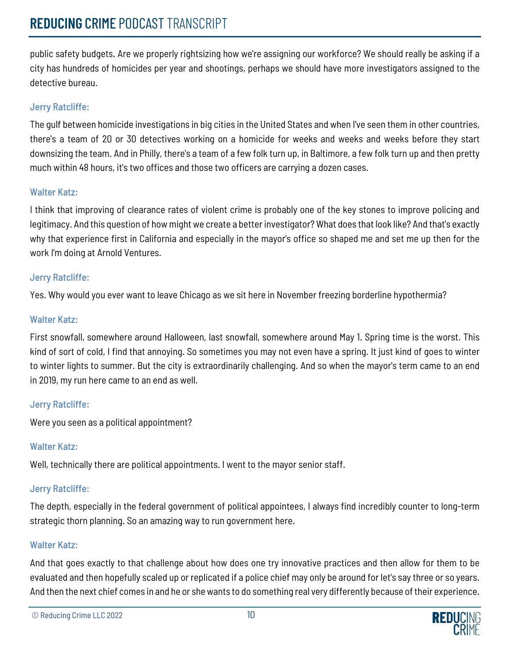public safety budgets. Are we properly rightsizing how we're assigning our workforce? We should really be asking if a city has hundreds of homicides per year and shootings, perhaps we should have more investigators assigned to the detective bureau.

## Jerry Ratcliffe:

The gulf between homicide investigations in big cities in the United States and when I've seen them in other countries, there's a team of 20 or 30 detectives working on a homicide for weeks and weeks and weeks before they start downsizing the team. And in Philly, there's a team of a few folk turn up, in Baltimore, a few folk turn up and then pretty much within 48 hours, it's two offices and those two officers are carrying a dozen cases.

### Walter Katz:

I think that improving of clearance rates of violent crime is probably one of the key stones to improve policing and legitimacy. And this question of how might we create a better investigator? What does that look like? And that's exactly why that experience first in California and especially in the mayor's office so shaped me and set me up then for the work I'm doing at Arnold Ventures.

## Jerry Ratcliffe:

Yes. Why would you ever want to leave Chicago as we sit here in November freezing borderline hypothermia?

## Walter Katz:

First snowfall, somewhere around Halloween, last snowfall, somewhere around May 1. Spring time is the worst. This kind of sort of cold, I find that annoying. So sometimes you may not even have a spring. It just kind of goes to winter to winter lights to summer. But the city is extraordinarily challenging. And so when the mayor's term came to an end in 2019, my run here came to an end as well.

## Jerry Ratcliffe:

Were you seen as a political appointment?

## Walter Katz:

Well, technically there are political appointments. I went to the mayor senior staff.

## Jerry Ratcliffe:

The depth, especially in the federal government of political appointees, I always find incredibly counter to long-term strategic thorn planning. So an amazing way to run government here.

## Walter Katz:

And that goes exactly to that challenge about how does one try innovative practices and then allow for them to be evaluated and then hopefully scaled up or replicated if a police chief may only be around for let's say three or so years. And then the next chief comes in and he or she wants to do something real very differently because of their experience.

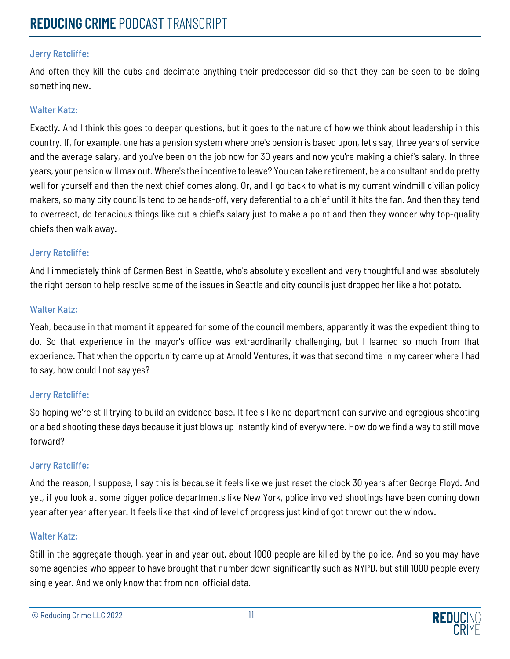## Jerry Ratcliffe:

And often they kill the cubs and decimate anything their predecessor did so that they can be seen to be doing something new.

## Walter Katz:

Exactly. And I think this goes to deeper questions, but it goes to the nature of how we think about leadership in this country. If, for example, one has a pension system where one's pension is based upon, let's say, three years of service and the average salary, and you've been on the job now for 30 years and now you're making a chief's salary. In three years, your pension will max out. Where's the incentive to leave? You can take retirement, be a consultant and do pretty well for yourself and then the next chief comes along. Or, and I go back to what is my current windmill civilian policy makers, so many city councils tend to be hands-off, very deferential to a chief until it hits the fan. And then they tend to overreact, do tenacious things like cut a chief's salary just to make a point and then they wonder why top-quality chiefs then walk away.

### Jerry Ratcliffe:

And I immediately think of Carmen Best in Seattle, who's absolutely excellent and very thoughtful and was absolutely the right person to help resolve some of the issues in Seattle and city councils just dropped her like a hot potato.

#### Walter Katz:

Yeah, because in that moment it appeared for some of the council members, apparently it was the expedient thing to do. So that experience in the mayor's office was extraordinarily challenging, but I learned so much from that experience. That when the opportunity came up at Arnold Ventures, it was that second time in my career where I had to say, how could I not say yes?

## Jerry Ratcliffe:

So hoping we're still trying to build an evidence base. It feels like no department can survive and egregious shooting or a bad shooting these days because it just blows up instantly kind of everywhere. How do we find a way to still move forward?

## Jerry Ratcliffe:

And the reason, I suppose, I say this is because it feels like we just reset the clock 30 years after George Floyd. And yet, if you look at some bigger police departments like New York, police involved shootings have been coming down year after year after year. It feels like that kind of level of progress just kind of got thrown out the window.

#### Walter Katz:

Still in the aggregate though, year in and year out, about 1000 people are killed by the police. And so you may have some agencies who appear to have brought that number down significantly such as NYPD, but still 1000 people every single year. And we only know that from non-official data.

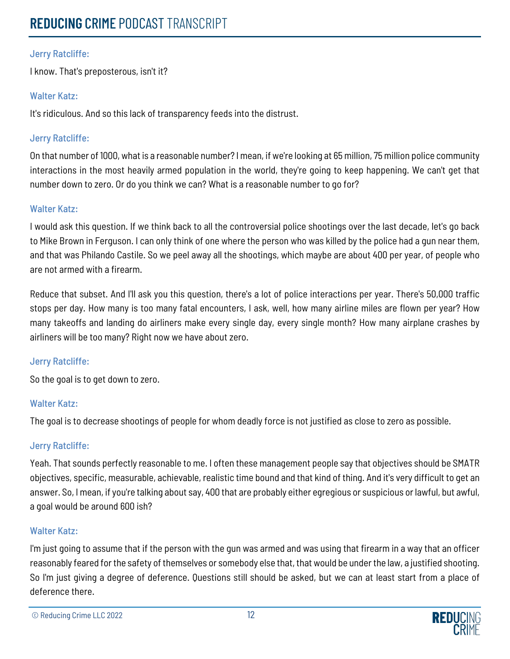## Jerry Ratcliffe:

I know. That's preposterous, isn't it?

### Walter Katz:

It's ridiculous. And so this lack of transparency feeds into the distrust.

## Jerry Ratcliffe:

On that number of 1000, what is a reasonable number? I mean, if we're looking at 65 million, 75 million police community interactions in the most heavily armed population in the world, they're going to keep happening. We can't get that number down to zero. Or do you think we can? What is a reasonable number to go for?

### Walter Katz:

I would ask this question. If we think back to all the controversial police shootings over the last decade, let's go back to Mike Brown in Ferguson. I can only think of one where the person who was killed by the police had a gun near them, and that was Philando Castile. So we peel away all the shootings, which maybe are about 400 per year, of people who are not armed with a firearm.

Reduce that subset. And I'll ask you this question, there's a lot of police interactions per year. There's 50,000 traffic stops per day. How many is too many fatal encounters, I ask, well, how many airline miles are flown per year? How many takeoffs and landing do airliners make every single day, every single month? How many airplane crashes by airliners will be too many? Right now we have about zero.

#### Jerry Ratcliffe:

So the goal is to get down to zero.

#### Walter Katz:

The goal is to decrease shootings of people for whom deadly force is not justified as close to zero as possible.

## Jerry Ratcliffe:

Yeah. That sounds perfectly reasonable to me. I often these management people say that objectives should be SMATR objectives, specific, measurable, achievable, realistic time bound and that kind of thing. And it's very difficult to get an answer. So, I mean, if you're talking about say, 400 that are probably either egregious or suspicious or lawful, but awful, a goal would be around 600 ish?

## Walter Katz:

I'm just going to assume that if the person with the gun was armed and was using that firearm in a way that an officer reasonably feared for the safety of themselves or somebody else that, that would be under the law, a justified shooting. So I'm just giving a degree of deference. Questions still should be asked, but we can at least start from a place of deference there.

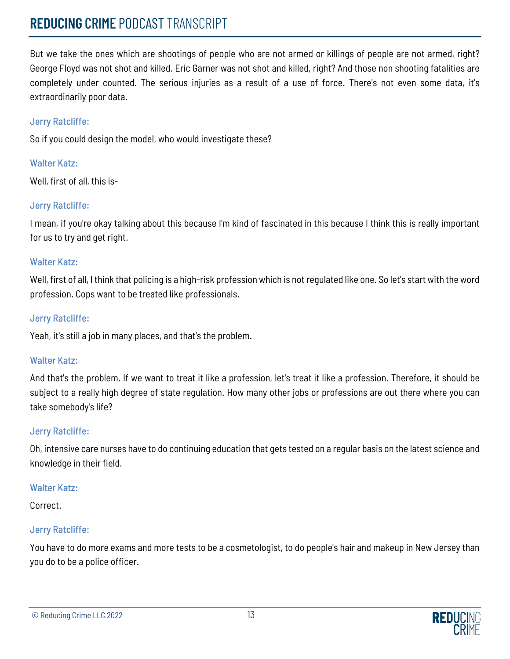## **REDUCING** CRIME PODCAST TRANSCRIPT

But we take the ones which are shootings of people who are not armed or killings of people are not armed, right? George Floyd was not shot and killed. Eric Garner was not shot and killed, right? And those non shooting fatalities are completely under counted. The serious injuries as a result of a use of force. There's not even some data, it's extraordinarily poor data.

### Jerry Ratcliffe:

So if you could design the model, who would investigate these?

## Walter Katz:

Well, first of all, this is-

## Jerry Ratcliffe:

I mean, if you're okay talking about this because I'm kind of fascinated in this because I think this is really important for us to try and get right.

#### Walter Katz:

Well, first of all, I think that policing is a high-risk profession which is not regulated like one. So let's start with the word profession. Cops want to be treated like professionals.

#### Jerry Ratcliffe:

Yeah, it's still a job in many places, and that's the problem.

#### Walter Katz:

And that's the problem. If we want to treat it like a profession, let's treat it like a profession. Therefore, it should be subject to a really high degree of state regulation. How many other jobs or professions are out there where you can take somebody's life?

#### Jerry Ratcliffe:

Oh, intensive care nurses have to do continuing education that gets tested on a regular basis on the latest science and knowledge in their field.

#### Walter Katz:

Correct.

## Jerry Ratcliffe:

You have to do more exams and more tests to be a cosmetologist, to do people's hair and makeup in New Jersey than you do to be a police officer.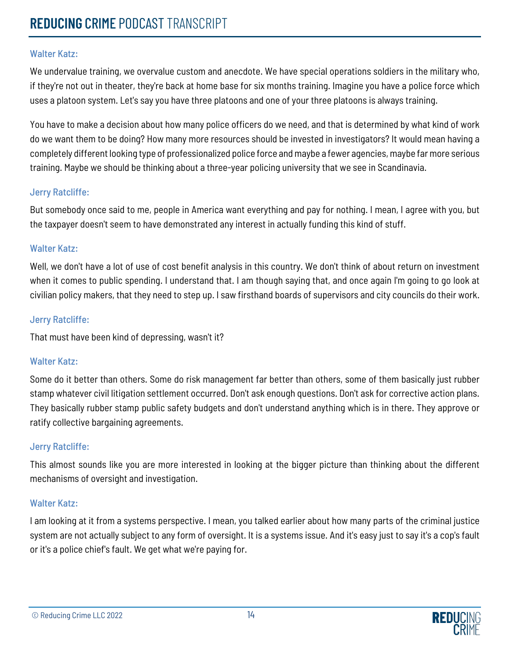We undervalue training, we overvalue custom and anecdote. We have special operations soldiers in the military who, if they're not out in theater, they're back at home base for six months training. Imagine you have a police force which uses a platoon system. Let's say you have three platoons and one of your three platoons is always training.

You have to make a decision about how many police officers do we need, and that is determined by what kind of work do we want them to be doing? How many more resources should be invested in investigators? It would mean having a completely different looking type of professionalized police force and maybe a fewer agencies, maybe far more serious training. Maybe we should be thinking about a three-year policing university that we see in Scandinavia.

### Jerry Ratcliffe:

But somebody once said to me, people in America want everything and pay for nothing. I mean, I agree with you, but the taxpayer doesn't seem to have demonstrated any interest in actually funding this kind of stuff.

### Walter Katz:

Well, we don't have a lot of use of cost benefit analysis in this country. We don't think of about return on investment when it comes to public spending. I understand that. I am though saying that, and once again I'm going to go look at civilian policy makers, that they need to step up. I saw firsthand boards of supervisors and city councils do their work.

#### Jerry Ratcliffe:

That must have been kind of depressing, wasn't it?

## Walter Katz:

Some do it better than others. Some do risk management far better than others, some of them basically just rubber stamp whatever civil litigation settlement occurred. Don't ask enough questions. Don't ask for corrective action plans. They basically rubber stamp public safety budgets and don't understand anything which is in there. They approve or ratify collective bargaining agreements.

## Jerry Ratcliffe:

This almost sounds like you are more interested in looking at the bigger picture than thinking about the different mechanisms of oversight and investigation.

## Walter Katz:

I am looking at it from a systems perspective. I mean, you talked earlier about how many parts of the criminal justice system are not actually subject to any form of oversight. It is a systems issue. And it's easy just to say it's a cop's fault or it's a police chief's fault. We get what we're paying for.

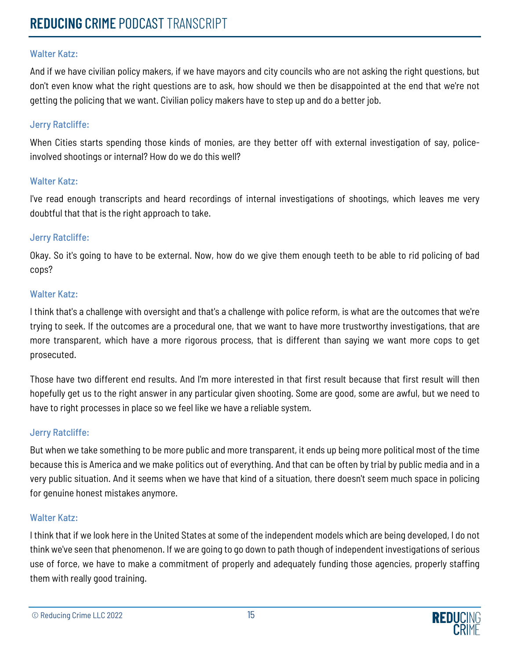And if we have civilian policy makers, if we have mayors and city councils who are not asking the right questions, but don't even know what the right questions are to ask, how should we then be disappointed at the end that we're not getting the policing that we want. Civilian policy makers have to step up and do a better job.

#### Jerry Ratcliffe:

When Cities starts spending those kinds of monies, are they better off with external investigation of say, policeinvolved shootings or internal? How do we do this well?

#### Walter Katz:

I've read enough transcripts and heard recordings of internal investigations of shootings, which leaves me very doubtful that that is the right approach to take.

#### Jerry Ratcliffe:

Okay. So it's going to have to be external. Now, how do we give them enough teeth to be able to rid policing of bad cops?

#### Walter Katz:

I think that's a challenge with oversight and that's a challenge with police reform, is what are the outcomes that we're trying to seek. If the outcomes are a procedural one, that we want to have more trustworthy investigations, that are more transparent, which have a more rigorous process, that is different than saying we want more cops to get prosecuted.

Those have two different end results. And I'm more interested in that first result because that first result will then hopefully get us to the right answer in any particular given shooting. Some are good, some are awful, but we need to have to right processes in place so we feel like we have a reliable system.

#### Jerry Ratcliffe:

But when we take something to be more public and more transparent, it ends up being more political most of the time because this is America and we make politics out of everything. And that can be often by trial by public media and in a very public situation. And it seems when we have that kind of a situation, there doesn't seem much space in policing for genuine honest mistakes anymore.

#### Walter Katz:

I think that if we look here in the United States at some of the independent models which are being developed, I do not think we've seen that phenomenon. If we are going to go down to path though of independent investigations of serious use of force, we have to make a commitment of properly and adequately funding those agencies, properly staffing them with really good training.

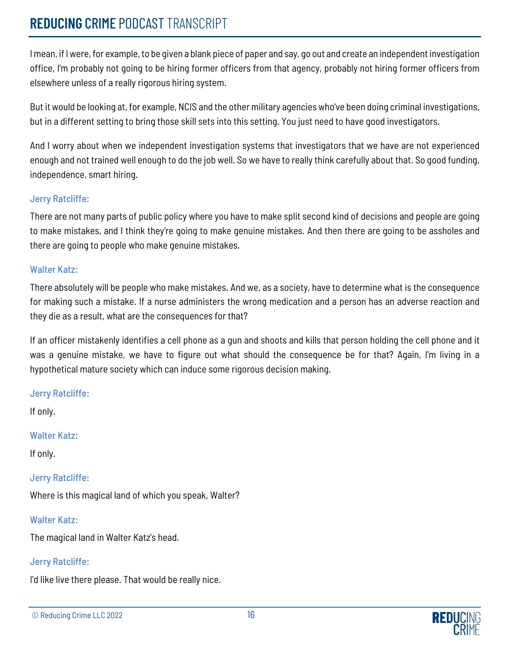## **REDUCING** CRIME PODCAST TRANSCRIPT

I mean, if I were, for example, to be given a blank piece of paper and say, go out and create an independent investigation office, I'm probably not going to be hiring former officers from that agency, probably not hiring former officers from elsewhere unless of a really rigorous hiring system.

But it would be looking at, for example, NCIS and the other military agencies who've been doing criminal investigations, but in a different setting to bring those skill sets into this setting. You just need to have good investigators.

And I worry about when we independent investigation systems that investigators that we have are not experienced enough and not trained well enough to do the job well. So we have to really think carefully about that. So good funding, independence, smart hiring.

### Jerry Ratcliffe:

There are not many parts of public policy where you have to make split second kind of decisions and people are going to make mistakes, and I think they're going to make genuine mistakes. And then there are going to be assholes and there are going to people who make genuine mistakes.

### Walter Katz:

There absolutely will be people who make mistakes. And we, as a society, have to determine what is the consequence for making such a mistake. If a nurse administers the wrong medication and a person has an adverse reaction and they die as a result, what are the consequences for that?

If an officer mistakenly identifies a cell phone as a gun and shoots and kills that person holding the cell phone and it was a genuine mistake, we have to figure out what should the consequence be for that? Again, I'm living in a hypothetical mature society which can induce some rigorous decision making.

#### Jerry Ratcliffe:

If only.

#### Walter Katz:

If only.

## Jerry Ratcliffe:

Where is this magical land of which you speak, Walter?

## Walter Katz:

The magical land in Walter Katz's head.

## Jerry Ratcliffe:

I'd like live there please. That would be really nice.

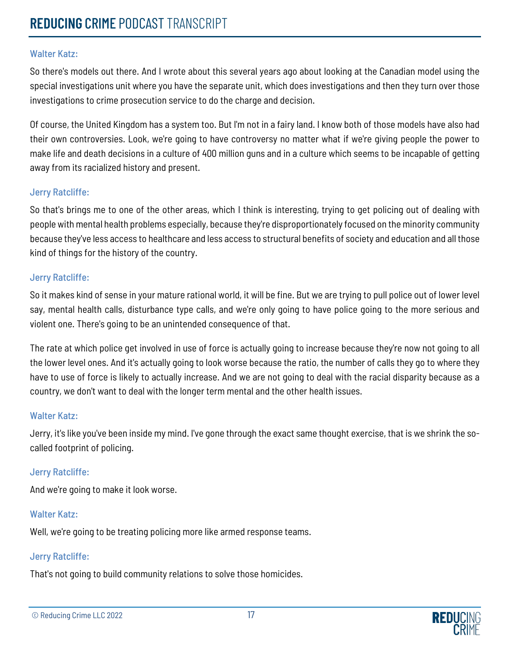So there's models out there. And I wrote about this several years ago about looking at the Canadian model using the special investigations unit where you have the separate unit, which does investigations and then they turn over those investigations to crime prosecution service to do the charge and decision.

Of course, the United Kingdom has a system too. But I'm not in a fairy land. I know both of those models have also had their own controversies. Look, we're going to have controversy no matter what if we're giving people the power to make life and death decisions in a culture of 400 million guns and in a culture which seems to be incapable of getting away from its racialized history and present.

#### Jerry Ratcliffe:

So that's brings me to one of the other areas, which I think is interesting, trying to get policing out of dealing with people with mental health problems especially, because they're disproportionately focused on the minority community because they've less access to healthcare and less access to structural benefits of society and education and all those kind of things for the history of the country.

### Jerry Ratcliffe:

So it makes kind of sense in your mature rational world, it will be fine. But we are trying to pull police out of lower level say, mental health calls, disturbance type calls, and we're only going to have police going to the more serious and violent one. There's going to be an unintended consequence of that.

The rate at which police get involved in use of force is actually going to increase because they're now not going to all the lower level ones. And it's actually going to look worse because the ratio, the number of calls they go to where they have to use of force is likely to actually increase. And we are not going to deal with the racial disparity because as a country, we don't want to deal with the longer term mental and the other health issues.

#### Walter Katz:

Jerry, it's like you've been inside my mind. I've gone through the exact same thought exercise, that is we shrink the socalled footprint of policing.

#### Jerry Ratcliffe:

And we're going to make it look worse.

## Walter Katz:

Well, we're going to be treating policing more like armed response teams.

#### Jerry Ratcliffe:

That's not going to build community relations to solve those homicides.

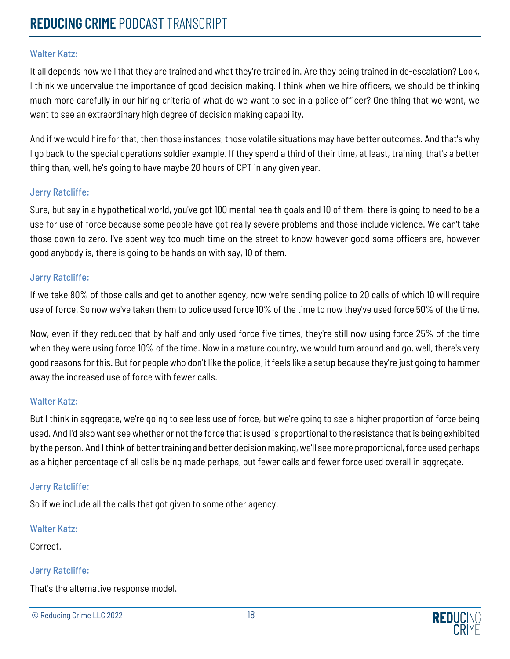It all depends how well that they are trained and what they're trained in. Are they being trained in de-escalation? Look, I think we undervalue the importance of good decision making. I think when we hire officers, we should be thinking much more carefully in our hiring criteria of what do we want to see in a police officer? One thing that we want, we want to see an extraordinary high degree of decision making capability.

And if we would hire for that, then those instances, those volatile situations may have better outcomes. And that's why I go back to the special operations soldier example. If they spend a third of their time, at least, training, that's a better thing than, well, he's going to have maybe 20 hours of CPT in any given year.

#### Jerry Ratcliffe:

Sure, but say in a hypothetical world, you've got 100 mental health goals and 10 of them, there is going to need to be a use for use of force because some people have got really severe problems and those include violence. We can't take those down to zero. I've spent way too much time on the street to know however good some officers are, however good anybody is, there is going to be hands on with say, 10 of them.

#### Jerry Ratcliffe:

If we take 80% of those calls and get to another agency, now we're sending police to 20 calls of which 10 will require use of force. So now we've taken them to police used force 10% of the time to now they've used force 50% of the time.

Now, even if they reduced that by half and only used force five times, they're still now using force 25% of the time when they were using force 10% of the time. Now in a mature country, we would turn around and go, well, there's very good reasons for this. But for people who don't like the police, it feels like a setup because they're just going to hammer away the increased use of force with fewer calls.

#### Walter Katz:

But I think in aggregate, we're going to see less use of force, but we're going to see a higher proportion of force being used. And I'd also want see whether or not the force that is used is proportional to the resistance that is being exhibited by the person. And I think of better training and better decision making, we'll see more proportional, force used perhaps as a higher percentage of all calls being made perhaps, but fewer calls and fewer force used overall in aggregate.

#### Jerry Ratcliffe:

So if we include all the calls that got given to some other agency.

#### Walter Katz:

Correct.

#### Jerry Ratcliffe:

That's the alternative response model.

```
© Reducing Crime LLC 2022 18
```
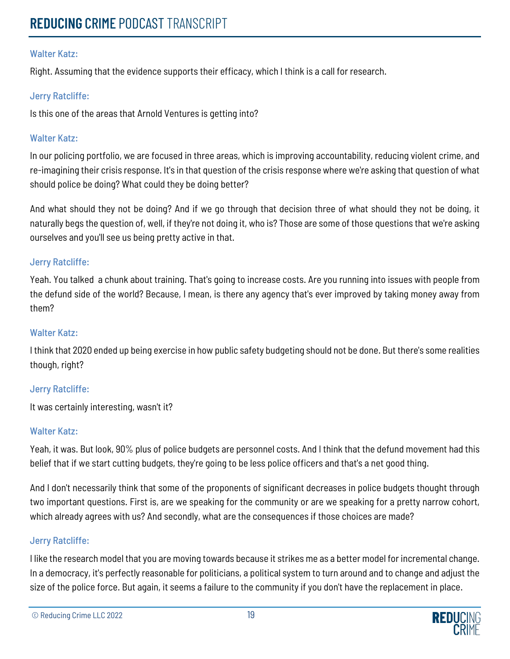Right. Assuming that the evidence supports their efficacy, which I think is a call for research.

### Jerry Ratcliffe:

Is this one of the areas that Arnold Ventures is getting into?

#### Walter Katz:

In our policing portfolio, we are focused in three areas, which is improving accountability, reducing violent crime, and re-imagining their crisis response. It's in that question of the crisis response where we're asking that question of what should police be doing? What could they be doing better?

And what should they not be doing? And if we go through that decision three of what should they not be doing, it naturally begs the question of, well, if they're not doing it, who is? Those are some of those questions that we're asking ourselves and you'll see us being pretty active in that.

### Jerry Ratcliffe:

Yeah. You talked a chunk about training. That's going to increase costs. Are you running into issues with people from the defund side of the world? Because, I mean, is there any agency that's ever improved by taking money away from them?

#### Walter Katz:

I think that 2020 ended up being exercise in how public safety budgeting should not be done. But there's some realities though, right?

#### Jerry Ratcliffe:

It was certainly interesting, wasn't it?

#### Walter Katz:

Yeah, it was. But look, 90% plus of police budgets are personnel costs. And I think that the defund movement had this belief that if we start cutting budgets, they're going to be less police officers and that's a net good thing.

And I don't necessarily think that some of the proponents of significant decreases in police budgets thought through two important questions. First is, are we speaking for the community or are we speaking for a pretty narrow cohort, which already agrees with us? And secondly, what are the consequences if those choices are made?

#### Jerry Ratcliffe:

I like the research model that you are moving towards because it strikes me as a better model for incremental change. In a democracy, it's perfectly reasonable for politicians, a political system to turn around and to change and adjust the size of the police force. But again, it seems a failure to the community if you don't have the replacement in place.

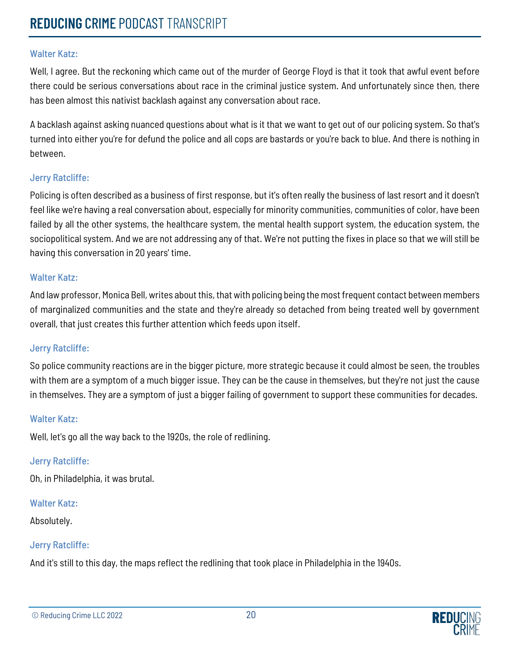Well, I agree. But the reckoning which came out of the murder of George Floyd is that it took that awful event before there could be serious conversations about race in the criminal justice system. And unfortunately since then, there has been almost this nativist backlash against any conversation about race.

A backlash against asking nuanced questions about what is it that we want to get out of our policing system. So that's turned into either you're for defund the police and all cops are bastards or you're back to blue. And there is nothing in between.

#### Jerry Ratcliffe:

Policing is often described as a business of first response, but it's often really the business of last resort and it doesn't feel like we're having a real conversation about, especially for minority communities, communities of color, have been failed by all the other systems, the healthcare system, the mental health support system, the education system, the sociopolitical system. And we are not addressing any of that. We're not putting the fixes in place so that we will still be having this conversation in 20 years' time.

#### Walter Katz:

And law professor, Monica Bell, writes about this, that with policing being the most frequent contact between members of marginalized communities and the state and they're already so detached from being treated well by government overall, that just creates this further attention which feeds upon itself.

#### Jerry Ratcliffe:

So police community reactions are in the bigger picture, more strategic because it could almost be seen, the troubles with them are a symptom of a much bigger issue. They can be the cause in themselves, but they're not just the cause in themselves. They are a symptom of just a bigger failing of government to support these communities for decades.

#### Walter Katz:

Well, let's go all the way back to the 1920s, the role of redlining.

#### Jerry Ratcliffe:

Oh, in Philadelphia, it was brutal.

#### Walter Katz:

Absolutely.

## Jerry Ratcliffe:

And it's still to this day, the maps reflect the redlining that took place in Philadelphia in the 1940s.